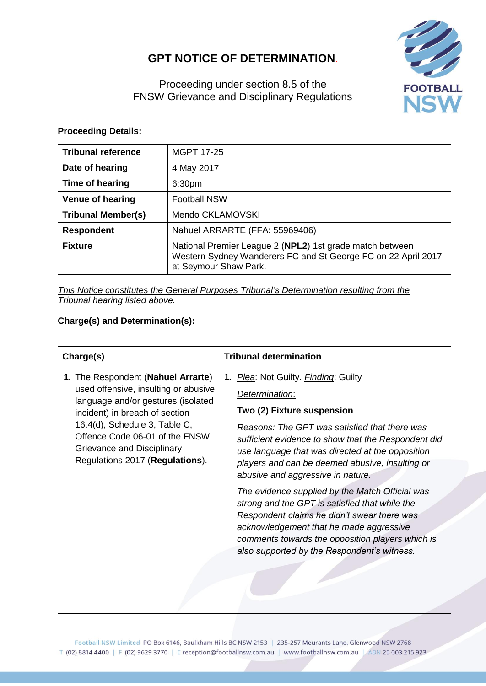# **GPT NOTICE OF DETERMINATION**.



Proceeding under section 8.5 of the FNSW Grievance and Disciplinary Regulations

### **Proceeding Details:**

| <b>Tribunal reference</b> | <b>MGPT 17-25</b>                                                                                                                                  |  |
|---------------------------|----------------------------------------------------------------------------------------------------------------------------------------------------|--|
| Date of hearing           | 4 May 2017                                                                                                                                         |  |
| Time of hearing           | 6:30pm                                                                                                                                             |  |
| <b>Venue of hearing</b>   | <b>Football NSW</b>                                                                                                                                |  |
| <b>Tribunal Member(s)</b> | Mendo CKLAMOVSKI                                                                                                                                   |  |
| <b>Respondent</b>         | Nahuel ARRARTE (FFA: 55969406)                                                                                                                     |  |
| <b>Fixture</b>            | National Premier League 2 (NPL2) 1st grade match between<br>Western Sydney Wanderers FC and St George FC on 22 April 2017<br>at Seymour Shaw Park. |  |

*This Notice constitutes the General Purposes Tribunal's Determination resulting from the Tribunal hearing listed above.*

## **Charge(s) and Determination(s):**

| Charge(s)                                                                                                                                                                                                                                                                              | <b>Tribunal determination</b>                                                                                                                                                                                                                                                                                                                    |
|----------------------------------------------------------------------------------------------------------------------------------------------------------------------------------------------------------------------------------------------------------------------------------------|--------------------------------------------------------------------------------------------------------------------------------------------------------------------------------------------------------------------------------------------------------------------------------------------------------------------------------------------------|
| 1. The Respondent (Nahuel Arrarte)<br>used offensive, insulting or abusive<br>language and/or gestures (isolated<br>incident) in breach of section<br>16.4(d), Schedule 3, Table C,<br>Offence Code 06-01 of the FNSW<br>Grievance and Disciplinary<br>Regulations 2017 (Regulations). | 1. Plea: Not Guilty. <i>Finding</i> : Guilty<br>Determination:<br>Two (2) Fixture suspension<br>Reasons: The GPT was satisfied that there was<br>sufficient evidence to show that the Respondent did<br>use language that was directed at the opposition<br>players and can be deemed abusive, insulting or<br>abusive and aggressive in nature. |
|                                                                                                                                                                                                                                                                                        | The evidence supplied by the Match Official was<br>strong and the GPT is satisfied that while the<br>Respondent claims he didn't swear there was<br>acknowledgement that he made aggressive<br>comments towards the opposition players which is<br>also supported by the Respondent's witness.                                                   |

Football NSW Limited PO Box 6146, Baulkham Hills BC NSW 2153 | 235-257 Meurants Lane, Glenwood NSW 2768 T (02) 8814 4400 | F (02) 9629 3770 | E reception@footballnsw.com.au | www.footballnsw.com.au | ABN 25 003 215 923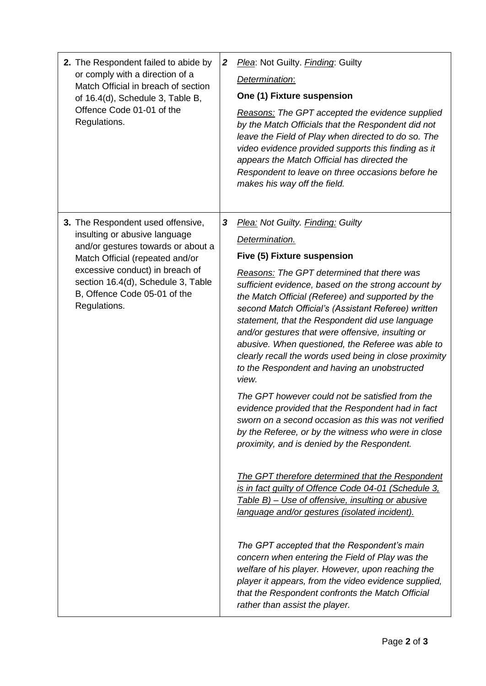| 2. The Respondent failed to abide by<br>or comply with a direction of a<br>Match Official in breach of section<br>of 16.4(d), Schedule 3, Table B,<br>Offence Code 01-01 of the<br>Regulations.                                                                      | $\boldsymbol{2}$ | Plea: Not Guilty. Finding: Guilty<br>Determination:<br>One (1) Fixture suspension<br>Reasons: The GPT accepted the evidence supplied<br>by the Match Officials that the Respondent did not<br>leave the Field of Play when directed to do so. The<br>video evidence provided supports this finding as it<br>appears the Match Official has directed the<br>Respondent to leave on three occasions before he<br>makes his way off the field.                                                                                                                                                                                                                                                                                                                                                                                                                                                                                                                                                                                                                                                                                                                                                                                                                                                                                                                                     |
|----------------------------------------------------------------------------------------------------------------------------------------------------------------------------------------------------------------------------------------------------------------------|------------------|---------------------------------------------------------------------------------------------------------------------------------------------------------------------------------------------------------------------------------------------------------------------------------------------------------------------------------------------------------------------------------------------------------------------------------------------------------------------------------------------------------------------------------------------------------------------------------------------------------------------------------------------------------------------------------------------------------------------------------------------------------------------------------------------------------------------------------------------------------------------------------------------------------------------------------------------------------------------------------------------------------------------------------------------------------------------------------------------------------------------------------------------------------------------------------------------------------------------------------------------------------------------------------------------------------------------------------------------------------------------------------|
| 3. The Respondent used offensive,<br>insulting or abusive language<br>and/or gestures towards or about a<br>Match Official (repeated and/or<br>excessive conduct) in breach of<br>section 16.4(d), Schedule 3, Table<br>B, Offence Code 05-01 of the<br>Regulations. | 3                | Plea: Not Guilty. Finding: Guilty<br>Determination.<br>Five (5) Fixture suspension<br>Reasons: The GPT determined that there was<br>sufficient evidence, based on the strong account by<br>the Match Official (Referee) and supported by the<br>second Match Official's (Assistant Referee) written<br>statement, that the Respondent did use language<br>and/or gestures that were offensive, insulting or<br>abusive. When questioned, the Referee was able to<br>clearly recall the words used being in close proximity<br>to the Respondent and having an unobstructed<br>view.<br>The GPT however could not be satisfied from the<br>evidence provided that the Respondent had in fact<br>sworn on a second occasion as this was not verified<br>by the Referee, or by the witness who were in close<br>proximity, and is denied by the Respondent.<br>The GPT therefore determined that the Respondent<br>is in fact quilty of Offence Code 04-01 (Schedule 3,<br>Table B) - Use of offensive, insulting or abusive<br>language and/or gestures (isolated incident).<br>The GPT accepted that the Respondent's main<br>concern when entering the Field of Play was the<br>welfare of his player. However, upon reaching the<br>player it appears, from the video evidence supplied,<br>that the Respondent confronts the Match Official<br>rather than assist the player. |